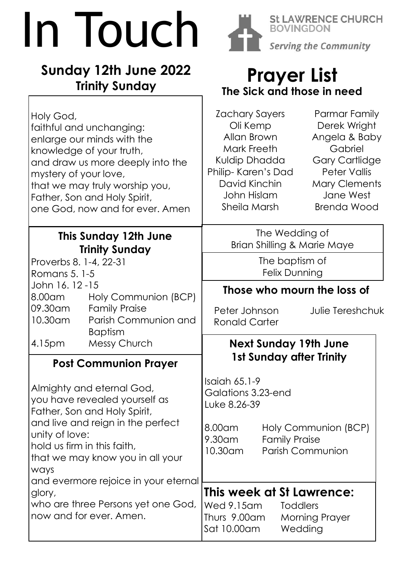# In Touch

### **Sunday 12th June 2022 Trinity Sunday**



**St LAWRENCE CHURCH GDON** Serving the Community

## **Prayer List The Sick and those in need**

| Holy God,<br>faithful and unchanging:<br>enlarge our minds with the<br>knowledge of your truth,<br>and draw us more deeply into the<br>mystery of your love,<br>that we may truly worship you,<br>Father, Son and Holy Spirit,<br>one God, now and for ever. Amen |                                                                | <b>Zachary Sayers</b><br>Oli Kemp<br>Allan Brown<br>Mark Freeth<br>Kuldip Dhadda<br>Philip-Karen's Dad<br>David Kinchin<br>John Hislam<br>Sheila Marsh |                 | Parmar Family<br>Derek Wright<br>Angela & Baby<br>Gabriel<br><b>Gary Cartlidge</b><br><b>Peter Vallis</b><br><b>Mary Clements</b><br>Jane West<br><b>Brenda Wood</b> |  |
|-------------------------------------------------------------------------------------------------------------------------------------------------------------------------------------------------------------------------------------------------------------------|----------------------------------------------------------------|--------------------------------------------------------------------------------------------------------------------------------------------------------|-----------------|----------------------------------------------------------------------------------------------------------------------------------------------------------------------|--|
| This Sunday 12th June<br><b>Trinity Sunday</b>                                                                                                                                                                                                                    |                                                                | The Wedding of<br>Brian Shilling & Marie Maye                                                                                                          |                 |                                                                                                                                                                      |  |
| Proverbs 8. 1-4, 22-31<br>Romans 5. 1-5                                                                                                                                                                                                                           |                                                                | The baptism of<br>Felix Dunning                                                                                                                        |                 |                                                                                                                                                                      |  |
| John 16. 12 -15<br>8.00am                                                                                                                                                                                                                                         | Holy Communion (BCP)                                           |                                                                                                                                                        |                 | Those who mourn the loss of                                                                                                                                          |  |
| 09.30am<br>10.30am                                                                                                                                                                                                                                                | <b>Family Praise</b><br>Parish Communion and<br><b>Baptism</b> | Peter Johnson<br><b>Ronald Carter</b>                                                                                                                  |                 | Julie Tereshchuk                                                                                                                                                     |  |
| 4.15 <sub>pm</sub>                                                                                                                                                                                                                                                | <b>Messy Church</b>                                            | <b>Next Sunday 19th June</b><br>1st Sunday after Trinity                                                                                               |                 |                                                                                                                                                                      |  |
| <b>Post Communion Prayer</b>                                                                                                                                                                                                                                      |                                                                |                                                                                                                                                        |                 |                                                                                                                                                                      |  |
| Almighty and eternal God,<br>you have revealed yourself as<br>Father, Son and Holy Spirit,                                                                                                                                                                        |                                                                | Isaiah 65.1-9<br>Galations 3.23-end<br>Luke 8.26-39                                                                                                    |                 |                                                                                                                                                                      |  |
| and live and reign in the perfect<br>unity of love:<br>hold us firm in this faith,<br>that we may know you in all your<br>ways                                                                                                                                    |                                                                | 8.00am<br>9.30am<br>10.30am                                                                                                                            |                 | Holy Communion (BCP)<br><b>Family Praise</b><br><b>Parish Communion</b>                                                                                              |  |
| and evermore rejoice in your eternal<br>glory,<br>who are three Persons yet one God,<br>now and for ever. Amen.                                                                                                                                                   |                                                                | Wed 9.15am<br>Thurs 9.00am<br>Sat 10.00am                                                                                                              | <b>Toddlers</b> | This week at St Lawrence:<br><b>Morning Prayer</b><br>Wedding                                                                                                        |  |